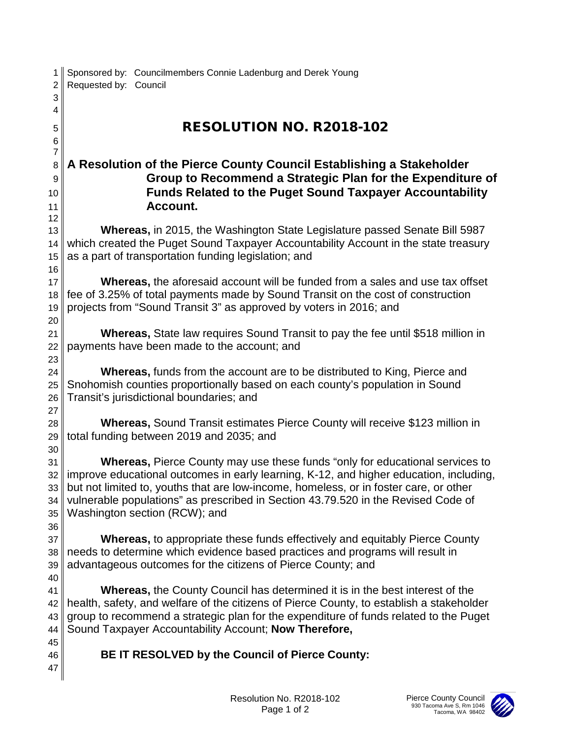| 1<br>$\overline{2}$ | Sponsored by: Councilmembers Connie Ladenburg and Derek Young<br>Requested by: Council                                                                                   |
|---------------------|--------------------------------------------------------------------------------------------------------------------------------------------------------------------------|
| 3                   |                                                                                                                                                                          |
| 4                   |                                                                                                                                                                          |
| 5                   | <b>RESOLUTION NO. R2018-102</b>                                                                                                                                          |
| 6                   |                                                                                                                                                                          |
| $\overline{7}$      |                                                                                                                                                                          |
| 8                   | A Resolution of the Pierce County Council Establishing a Stakeholder                                                                                                     |
| 9                   | Group to Recommend a Strategic Plan for the Expenditure of                                                                                                               |
| 10                  | <b>Funds Related to the Puget Sound Taxpayer Accountability</b>                                                                                                          |
| 11                  | Account.                                                                                                                                                                 |
| 12                  |                                                                                                                                                                          |
| 13                  | <b>Whereas, in 2015, the Washington State Legislature passed Senate Bill 5987</b><br>which created the Puget Sound Taxpayer Accountability Account in the state treasury |
| 14<br>15            | as a part of transportation funding legislation; and                                                                                                                     |
| 16                  |                                                                                                                                                                          |
| 17                  | Whereas, the aforesaid account will be funded from a sales and use tax offset                                                                                            |
| 18                  | fee of 3.25% of total payments made by Sound Transit on the cost of construction                                                                                         |
| 19                  | projects from "Sound Transit 3" as approved by voters in 2016; and                                                                                                       |
| 20                  |                                                                                                                                                                          |
| 21                  | <b>Whereas, State law requires Sound Transit to pay the fee until \$518 million in</b>                                                                                   |
| 22                  | payments have been made to the account; and                                                                                                                              |
| 23                  |                                                                                                                                                                          |
| 24                  | <b>Whereas, funds from the account are to be distributed to King, Pierce and</b>                                                                                         |
| 25                  | Snohomish counties proportionally based on each county's population in Sound                                                                                             |
| 26                  | Transit's jurisdictional boundaries; and                                                                                                                                 |
| 27                  |                                                                                                                                                                          |
| 28                  | <b>Whereas, Sound Transit estimates Pierce County will receive \$123 million in</b>                                                                                      |
| 29<br>30            | total funding between 2019 and 2035; and                                                                                                                                 |
| 31                  | <b>Whereas, Pierce County may use these funds "only for educational services to</b>                                                                                      |
| 32                  | improve educational outcomes in early learning, K-12, and higher education, including,                                                                                   |
| 33                  | but not limited to, youths that are low-income, homeless, or in foster care, or other                                                                                    |
| 34                  | vulnerable populations" as prescribed in Section 43.79.520 in the Revised Code of                                                                                        |
| 35                  | Washington section (RCW); and                                                                                                                                            |
| 36                  |                                                                                                                                                                          |
| 37                  | <b>Whereas, to appropriate these funds effectively and equitably Pierce County</b>                                                                                       |
| 38                  | needs to determine which evidence based practices and programs will result in                                                                                            |
| 39                  | advantageous outcomes for the citizens of Pierce County; and                                                                                                             |
| 40                  |                                                                                                                                                                          |
| 41                  | <b>Whereas, the County Council has determined it is in the best interest of the</b>                                                                                      |
| 42                  | health, safety, and welfare of the citizens of Pierce County, to establish a stakeholder                                                                                 |
| 43                  | group to recommend a strategic plan for the expenditure of funds related to the Puget                                                                                    |
| 44<br>45            | Sound Taxpayer Accountability Account; Now Therefore,                                                                                                                    |
| 46                  | BE IT RESOLVED by the Council of Pierce County:                                                                                                                          |
| 47                  |                                                                                                                                                                          |
|                     |                                                                                                                                                                          |